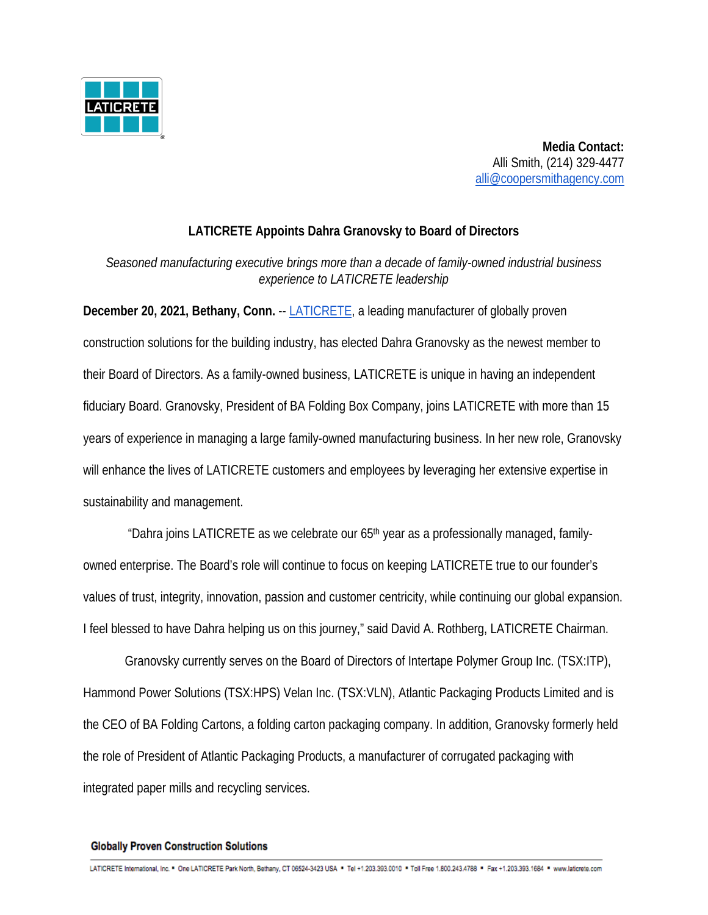

**Media Contact:** Alli Smith, (214) 329-4477 [alli@coopersmithagency.com](mailto:alli@coopersmithagency.com)

## **LATICRETE Appoints Dahra Granovsky to Board of Directors**

*Seasoned manufacturing executive brings more than a decade of family-owned industrial business experience to LATICRETE leadership* 

**December 20, 2021, Bethany, Conn.** -- [LATICRETE,](https://www.google.com/url?q=https://laticrete.com/&sa=D&source=docs&ust=1638303220078000&usg=AOvVaw11pLqYAGUfmuQG4_naqWAg) a leading manufacturer of globally proven construction solutions for the building industry, has elected Dahra Granovsky as the newest member to their Board of Directors. As a family-owned business, LATICRETE is unique in having an independent fiduciary Board. Granovsky, President of BA Folding Box Company, joins LATICRETE with more than 15 years of experience in managing a large family-owned manufacturing business. In her new role, Granovsky will enhance the lives of LATICRETE customers and employees by leveraging her extensive expertise in sustainability and management.

"Dahra joins LATICRETE as we celebrate our 65th year as a professionally managed, familyowned enterprise. The Board's role will continue to focus on keeping LATICRETE true to our founder's values of trust, integrity, innovation, passion and customer centricity, while continuing our global expansion. I feel blessed to have Dahra helping us on this journey," said David A. Rothberg, LATICRETE Chairman.

Granovsky currently serves on the Board of Directors of Intertape Polymer Group Inc. (TSX:ITP), Hammond Power Solutions (TSX:HPS) Velan Inc. (TSX:VLN), Atlantic Packaging Products Limited and is the CEO of BA Folding Cartons, a folding carton packaging company. In addition, Granovsky formerly held the role of President of Atlantic Packaging Products, a manufacturer of corrugated packaging with integrated paper mills and recycling services.

## **Globally Proven Construction Solutions**